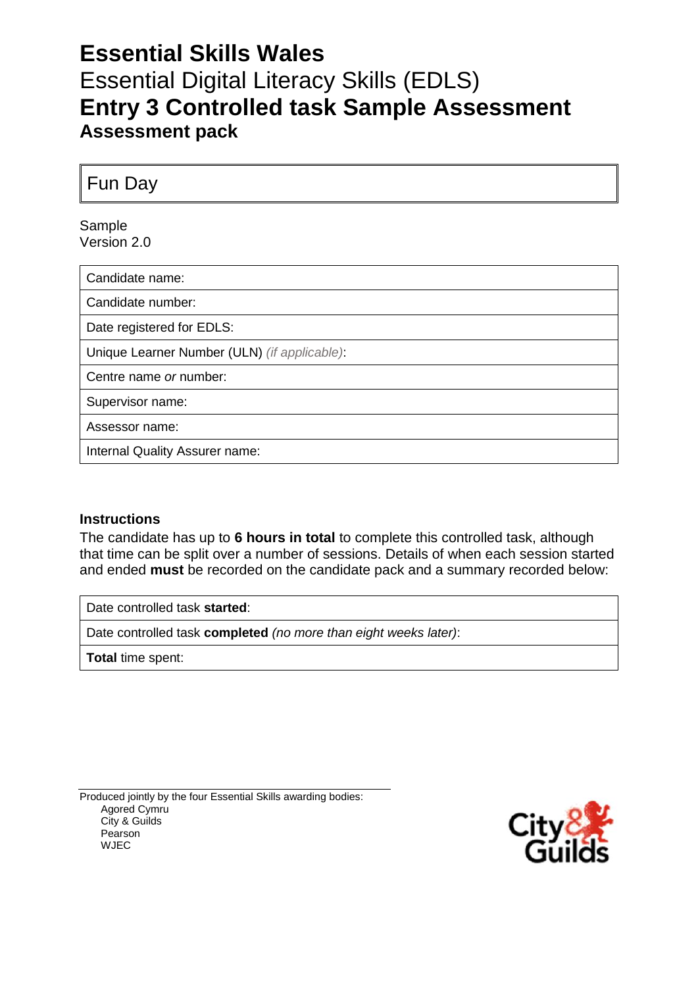## **Essential Skills Wales** Essential Digital Literacy Skills (EDLS) **Entry 3 Controlled task Sample Assessment Assessment pack**

Fun Day

Sample Version 2.0

Candidate name:

Candidate number:

Date registered for EDLS:

Unique Learner Number (ULN) *(if applicable)*:

Centre name *or* number:

Supervisor name:

Assessor name:

Internal Quality Assurer name:

#### **Instructions**

The candidate has up to **6 hours in total** to complete this controlled task, although that time can be split over a number of sessions. Details of when each session started and ended **must** be recorded on the candidate pack and a summary recorded below:

Date controlled task **started**:

Date controlled task **completed** *(no more than eight weeks later)*:

**Total** time spent:

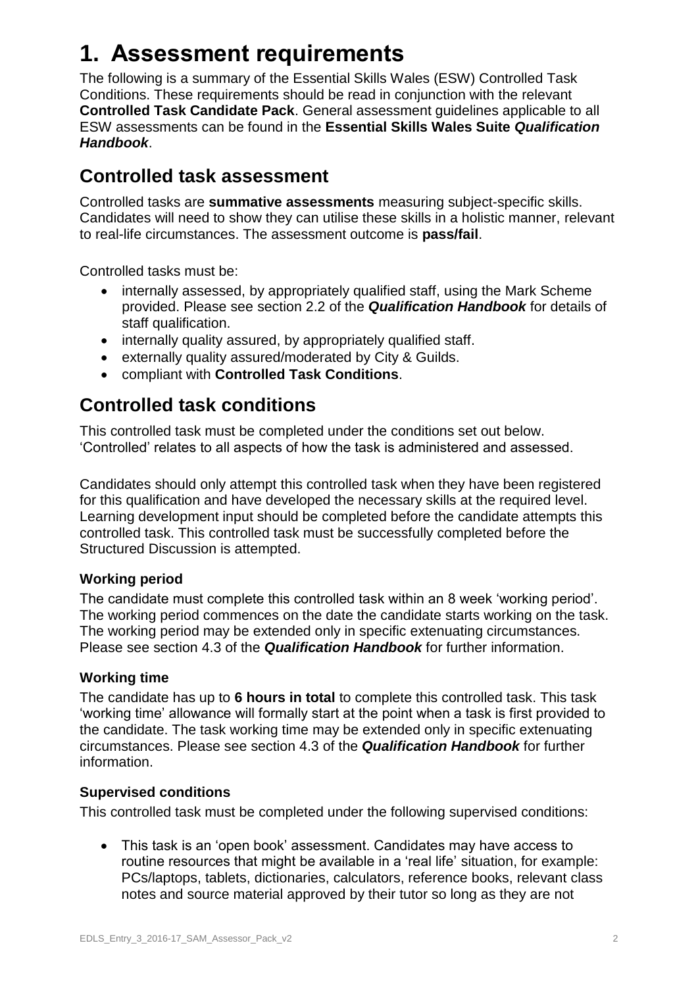## **1. Assessment requirements**

The following is a summary of the Essential Skills Wales (ESW) Controlled Task Conditions. These requirements should be read in conjunction with the relevant **Controlled Task Candidate Pack**. General assessment guidelines applicable to all ESW assessments can be found in the **Essential Skills Wales Suite** *Qualification Handbook*.

### **Controlled task assessment**

Controlled tasks are **summative assessments** measuring subject-specific skills. Candidates will need to show they can utilise these skills in a holistic manner, relevant to real-life circumstances. The assessment outcome is **pass/fail**.

Controlled tasks must be:

- internally assessed, by appropriately qualified staff, using the Mark Scheme provided. Please see section 2.2 of the *Qualification Handbook* for details of staff qualification.
- internally quality assured, by appropriately qualified staff.
- externally quality assured/moderated by City & Guilds.
- compliant with **Controlled Task Conditions**.

### **Controlled task conditions**

This controlled task must be completed under the conditions set out below. 'Controlled' relates to all aspects of how the task is administered and assessed.

Candidates should only attempt this controlled task when they have been registered for this qualification and have developed the necessary skills at the required level. Learning development input should be completed before the candidate attempts this controlled task. This controlled task must be successfully completed before the Structured Discussion is attempted.

#### **Working period**

The candidate must complete this controlled task within an 8 week 'working period'. The working period commences on the date the candidate starts working on the task. The working period may be extended only in specific extenuating circumstances. Please see section 4.3 of the *Qualification Handbook* for further information.

#### **Working time**

The candidate has up to **6 hours in total** to complete this controlled task. This task 'working time' allowance will formally start at the point when a task is first provided to the candidate. The task working time may be extended only in specific extenuating circumstances. Please see section 4.3 of the *Qualification Handbook* for further information.

#### **Supervised conditions**

This controlled task must be completed under the following supervised conditions:

 This task is an 'open book' assessment. Candidates may have access to routine resources that might be available in a 'real life' situation, for example: PCs/laptops, tablets, dictionaries, calculators, reference books, relevant class notes and source material approved by their tutor so long as they are not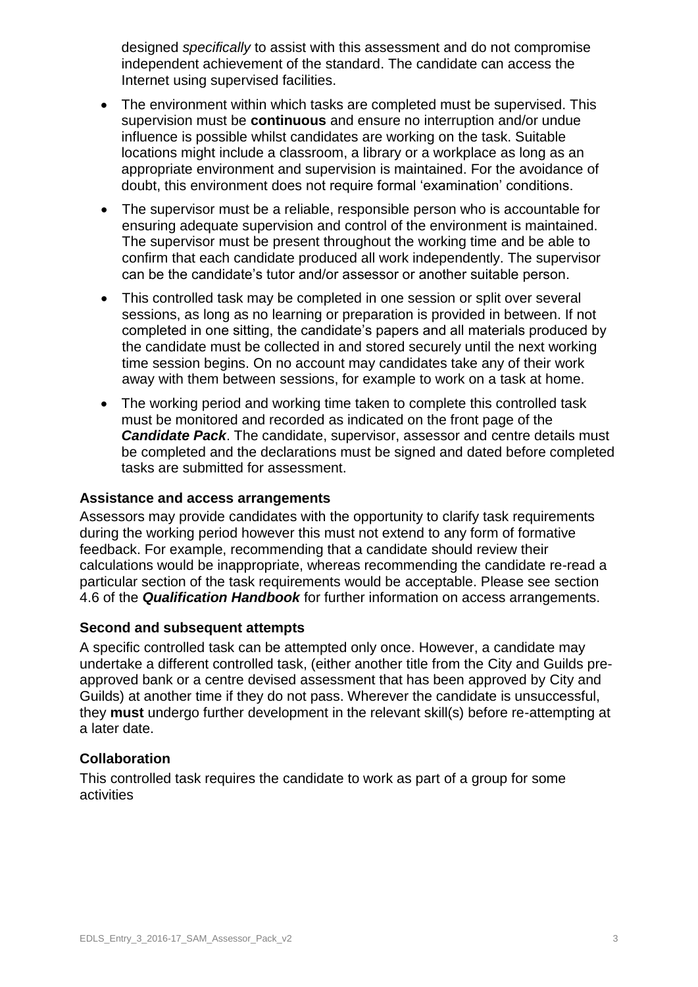designed *specifically* to assist with this assessment and do not compromise independent achievement of the standard. The candidate can access the Internet using supervised facilities.

- The environment within which tasks are completed must be supervised. This supervision must be **continuous** and ensure no interruption and/or undue influence is possible whilst candidates are working on the task. Suitable locations might include a classroom, a library or a workplace as long as an appropriate environment and supervision is maintained. For the avoidance of doubt, this environment does not require formal 'examination' conditions.
- The supervisor must be a reliable, responsible person who is accountable for ensuring adequate supervision and control of the environment is maintained. The supervisor must be present throughout the working time and be able to confirm that each candidate produced all work independently. The supervisor can be the candidate's tutor and/or assessor or another suitable person.
- This controlled task may be completed in one session or split over several sessions, as long as no learning or preparation is provided in between. If not completed in one sitting, the candidate's papers and all materials produced by the candidate must be collected in and stored securely until the next working time session begins. On no account may candidates take any of their work away with them between sessions, for example to work on a task at home.
- The working period and working time taken to complete this controlled task must be monitored and recorded as indicated on the front page of the *Candidate Pack*. The candidate, supervisor, assessor and centre details must be completed and the declarations must be signed and dated before completed tasks are submitted for assessment.

#### **Assistance and access arrangements**

Assessors may provide candidates with the opportunity to clarify task requirements during the working period however this must not extend to any form of formative feedback. For example, recommending that a candidate should review their calculations would be inappropriate, whereas recommending the candidate re-read a particular section of the task requirements would be acceptable. Please see section 4.6 of the *Qualification Handbook* for further information on access arrangements.

#### **Second and subsequent attempts**

A specific controlled task can be attempted only once. However, a candidate may undertake a different controlled task, (either another title from the City and Guilds preapproved bank or a centre devised assessment that has been approved by City and Guilds) at another time if they do not pass. Wherever the candidate is unsuccessful, they **must** undergo further development in the relevant skill(s) before re-attempting at a later date.

#### **Collaboration**

This controlled task requires the candidate to work as part of a group for some activities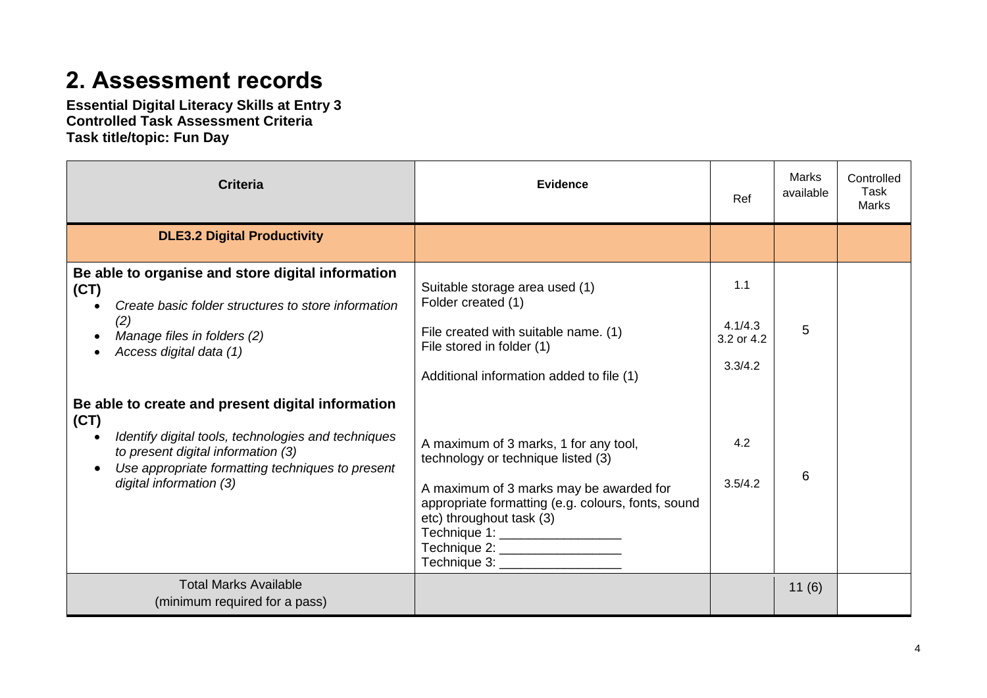# **2. Assessment records**

**Essential Digital Literacy Skills at Entry 3 Controlled Task Assessment Criteria Task title/topic: Fun Day**

| <b>Criteria</b>                                                                                                                                                                                                                       | <b>Evidence</b>                                                                                                                                                                                                                                                                |                                         | Marks<br>available | Controlled<br>Task<br>Marks |
|---------------------------------------------------------------------------------------------------------------------------------------------------------------------------------------------------------------------------------------|--------------------------------------------------------------------------------------------------------------------------------------------------------------------------------------------------------------------------------------------------------------------------------|-----------------------------------------|--------------------|-----------------------------|
| <b>DLE3.2 Digital Productivity</b>                                                                                                                                                                                                    |                                                                                                                                                                                                                                                                                |                                         |                    |                             |
| Be able to organise and store digital information<br>(CT)<br>Create basic folder structures to store information<br>$\bullet$<br>(2)<br>Manage files in folders (2)<br>Access digital data (1)                                        | Suitable storage area used (1)<br>Folder created (1)<br>File created with suitable name. (1)<br>File stored in folder (1)<br>Additional information added to file (1)                                                                                                          | 1.1<br>4.1/4.3<br>3.2 or 4.2<br>3.3/4.2 | 5                  |                             |
| Be able to create and present digital information<br>(CT)<br>Identify digital tools, technologies and techniques<br>to present digital information (3)<br>Use appropriate formatting techniques to present<br>digital information (3) | A maximum of 3 marks, 1 for any tool,<br>technology or technique listed (3)<br>A maximum of 3 marks may be awarded for<br>appropriate formatting (e.g. colours, fonts, sound<br>etc) throughout task (3)<br>Technique 1: __________________<br>Technique 2: __________________ | 4.2<br>3.5/4.2                          | 6                  |                             |
| <b>Total Marks Available</b><br>(minimum required for a pass)                                                                                                                                                                         |                                                                                                                                                                                                                                                                                |                                         | 11(6)              |                             |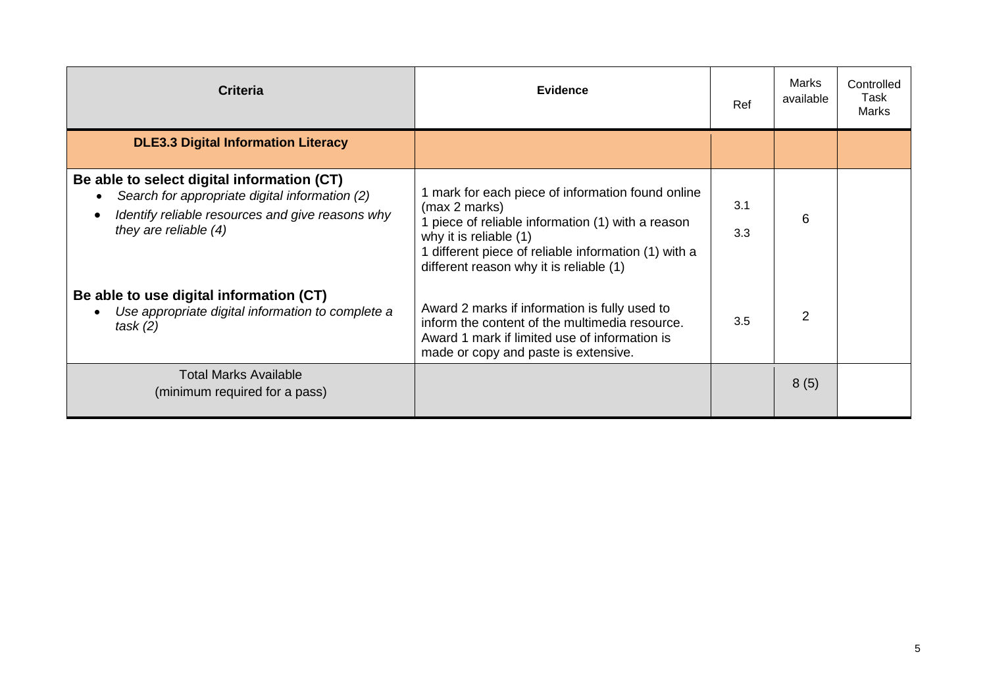| <b>Criteria</b>                                                                                                                                                             | <b>Evidence</b>                                                                                                                                                                                                                                  | Ref        | Marks<br>available | Controlled<br>Task<br><b>Marks</b> |
|-----------------------------------------------------------------------------------------------------------------------------------------------------------------------------|--------------------------------------------------------------------------------------------------------------------------------------------------------------------------------------------------------------------------------------------------|------------|--------------------|------------------------------------|
| <b>DLE3.3 Digital Information Literacy</b>                                                                                                                                  |                                                                                                                                                                                                                                                  |            |                    |                                    |
| Be able to select digital information (CT)<br>Search for appropriate digital information (2)<br>Identify reliable resources and give reasons why<br>they are reliable $(4)$ | 1 mark for each piece of information found online<br>(max 2 marks)<br>piece of reliable information (1) with a reason<br>why it is reliable (1)<br>different piece of reliable information (1) with a<br>different reason why it is reliable (1) | 3.1<br>3.3 | 6                  |                                    |
| Be able to use digital information (CT)<br>Use appropriate digital information to complete a<br>task(2)                                                                     | Award 2 marks if information is fully used to<br>inform the content of the multimedia resource.<br>Award 1 mark if limited use of information is<br>made or copy and paste is extensive.                                                         | 3.5        | $\overline{2}$     |                                    |
| <b>Total Marks Available</b><br>(minimum required for a pass)                                                                                                               |                                                                                                                                                                                                                                                  |            | 8(5)               |                                    |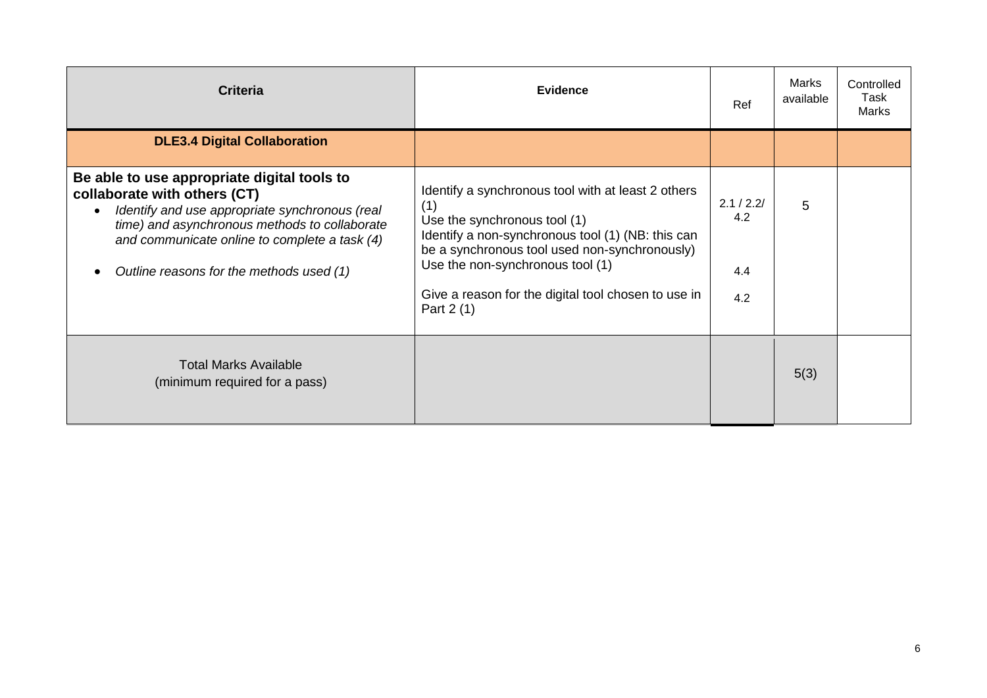| <b>Criteria</b>                                                                                                                                                                                                                                                             | <b>Evidence</b>                                                                                                                                                                                                                                                                                          | Ref                             | Marks<br>available | Controlled<br>Task<br>Marks |
|-----------------------------------------------------------------------------------------------------------------------------------------------------------------------------------------------------------------------------------------------------------------------------|----------------------------------------------------------------------------------------------------------------------------------------------------------------------------------------------------------------------------------------------------------------------------------------------------------|---------------------------------|--------------------|-----------------------------|
| <b>DLE3.4 Digital Collaboration</b>                                                                                                                                                                                                                                         |                                                                                                                                                                                                                                                                                                          |                                 |                    |                             |
| Be able to use appropriate digital tools to<br>collaborate with others (CT)<br>Identify and use appropriate synchronous (real<br>time) and asynchronous methods to collaborate<br>and communicate online to complete a task (4)<br>Outline reasons for the methods used (1) | Identify a synchronous tool with at least 2 others<br>(1)<br>Use the synchronous tool (1)<br>Identify a non-synchronous tool (1) (NB: this can<br>be a synchronous tool used non-synchronously)<br>Use the non-synchronous tool (1)<br>Give a reason for the digital tool chosen to use in<br>Part 2 (1) | 2.1 / 2.2/<br>4.2<br>4.4<br>4.2 | 5                  |                             |
| <b>Total Marks Available</b><br>(minimum required for a pass)                                                                                                                                                                                                               |                                                                                                                                                                                                                                                                                                          |                                 | 5(3)               |                             |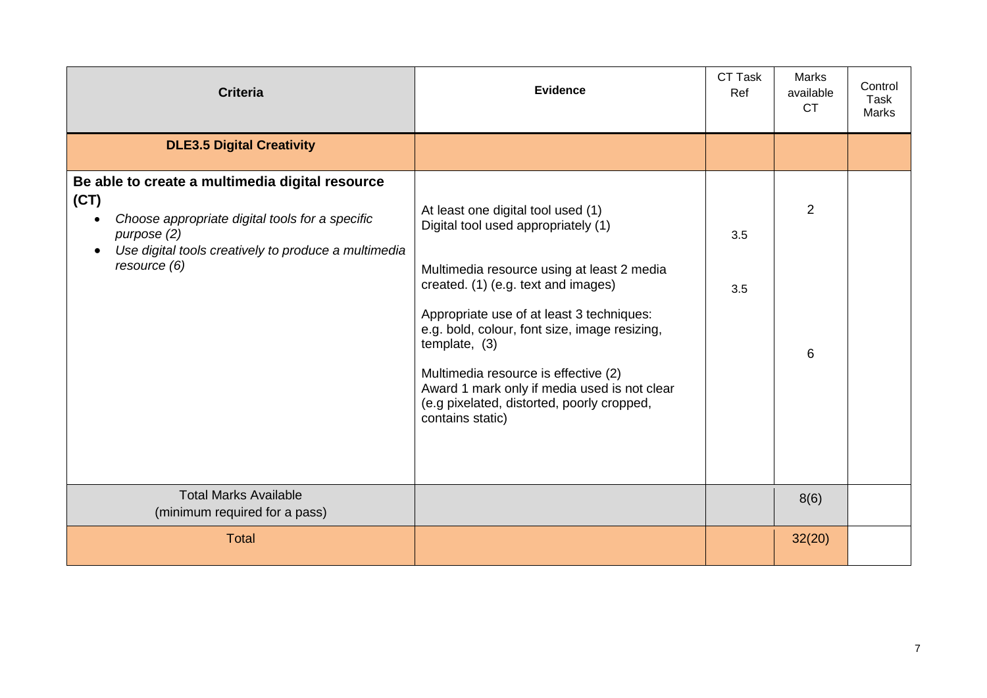| <b>Criteria</b>                                                                                                                                                                                   | <b>Evidence</b>                                                                                                                                                                                                                                                                                                                                                                                                                         | CT Task<br>Ref | <b>Marks</b><br>available<br><b>CT</b> | Control<br>Task<br><b>Marks</b> |
|---------------------------------------------------------------------------------------------------------------------------------------------------------------------------------------------------|-----------------------------------------------------------------------------------------------------------------------------------------------------------------------------------------------------------------------------------------------------------------------------------------------------------------------------------------------------------------------------------------------------------------------------------------|----------------|----------------------------------------|---------------------------------|
| <b>DLE3.5 Digital Creativity</b>                                                                                                                                                                  |                                                                                                                                                                                                                                                                                                                                                                                                                                         |                |                                        |                                 |
| Be able to create a multimedia digital resource<br>(CT)<br>Choose appropriate digital tools for a specific<br>purpose (2)<br>Use digital tools creatively to produce a multimedia<br>resource (6) | At least one digital tool used (1)<br>Digital tool used appropriately (1)<br>Multimedia resource using at least 2 media<br>created. (1) (e.g. text and images)<br>Appropriate use of at least 3 techniques:<br>e.g. bold, colour, font size, image resizing,<br>template, (3)<br>Multimedia resource is effective (2)<br>Award 1 mark only if media used is not clear<br>(e.g pixelated, distorted, poorly cropped,<br>contains static) | 3.5<br>3.5     | 2<br>6                                 |                                 |
| <b>Total Marks Available</b><br>(minimum required for a pass)                                                                                                                                     |                                                                                                                                                                                                                                                                                                                                                                                                                                         |                | 8(6)                                   |                                 |
| <b>Total</b>                                                                                                                                                                                      |                                                                                                                                                                                                                                                                                                                                                                                                                                         |                | 32(20)                                 |                                 |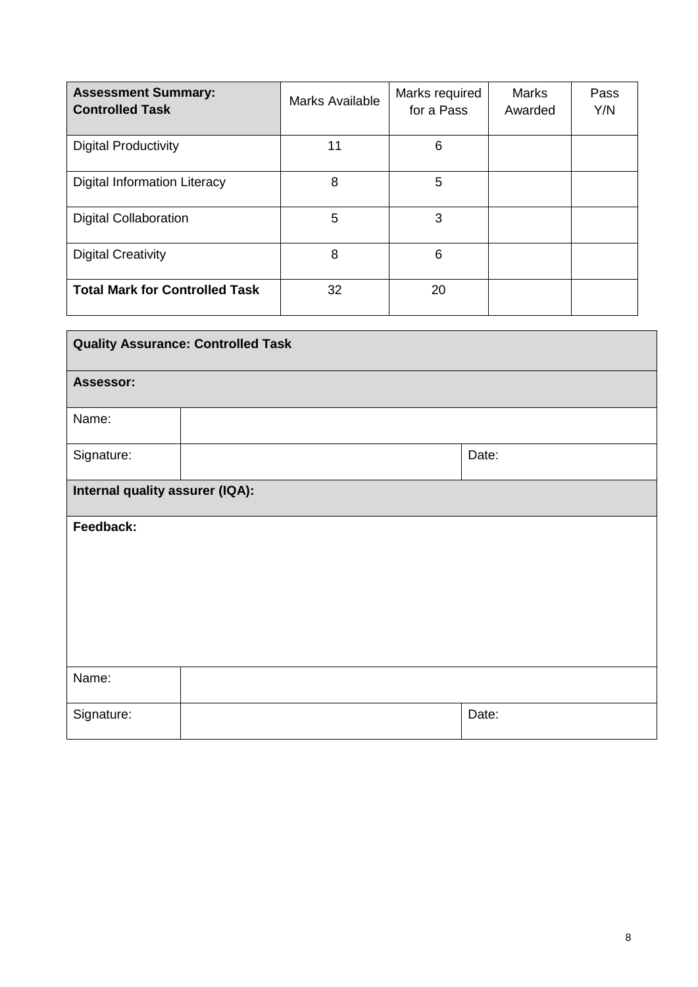| <b>Assessment Summary:</b><br><b>Controlled Task</b> | <b>Marks Available</b> | Marks required<br>for a Pass | <b>Marks</b><br>Awarded | Pass<br>Y/N |
|------------------------------------------------------|------------------------|------------------------------|-------------------------|-------------|
| <b>Digital Productivity</b>                          | 11                     | 6                            |                         |             |
| Digital Information Literacy                         | 8                      | 5                            |                         |             |
| <b>Digital Collaboration</b>                         | 5                      | 3                            |                         |             |
| <b>Digital Creativity</b>                            | 8                      | 6                            |                         |             |
| <b>Total Mark for Controlled Task</b>                | 32                     | 20                           |                         |             |

| <b>Quality Assurance: Controlled Task</b> |  |       |  |
|-------------------------------------------|--|-------|--|
| Assessor:                                 |  |       |  |
| Name:                                     |  |       |  |
| Signature:                                |  | Date: |  |
| Internal quality assurer (IQA):           |  |       |  |
| Feedback:                                 |  |       |  |
|                                           |  |       |  |
|                                           |  |       |  |
|                                           |  |       |  |
| Name:                                     |  |       |  |
| Signature:                                |  | Date: |  |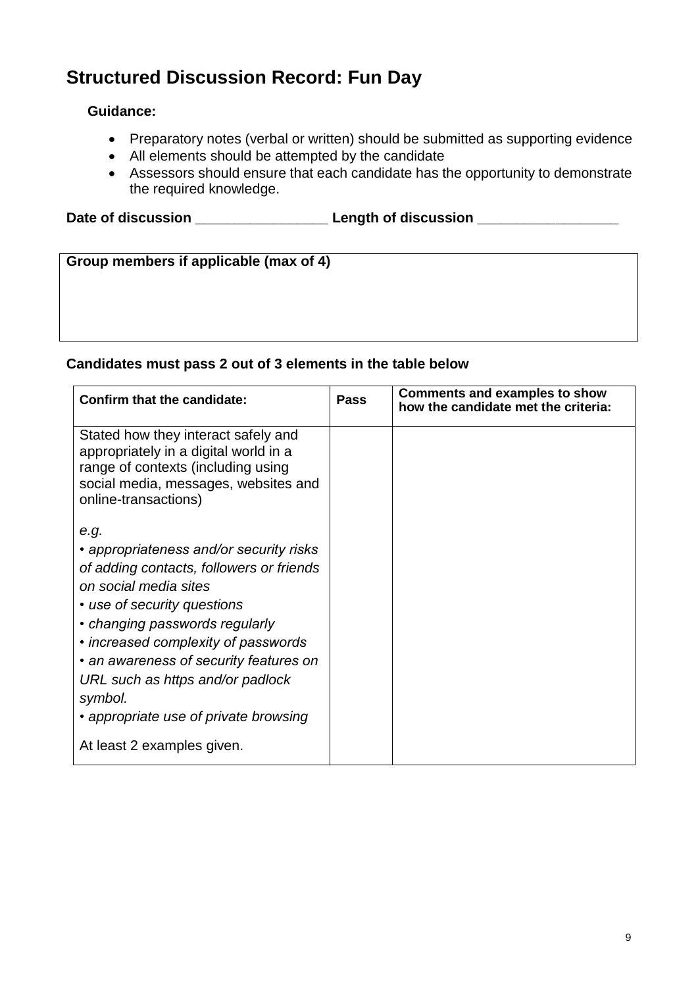## **Structured Discussion Record: Fun Day**

#### **Guidance:**

- Preparatory notes (verbal or written) should be submitted as supporting evidence
- All elements should be attempted by the candidate
- Assessors should ensure that each candidate has the opportunity to demonstrate the required knowledge.

Date of discussion **Date of discussion** 

| Group members if applicable (max of 4) |  |  |  |  |  |
|----------------------------------------|--|--|--|--|--|
|                                        |  |  |  |  |  |
|                                        |  |  |  |  |  |
|                                        |  |  |  |  |  |
|                                        |  |  |  |  |  |
|                                        |  |  |  |  |  |
|                                        |  |  |  |  |  |
|                                        |  |  |  |  |  |
|                                        |  |  |  |  |  |
|                                        |  |  |  |  |  |

#### **Candidates must pass 2 out of 3 elements in the table below**

| <b>Confirm that the candidate:</b>                                                                                                                                                 | <b>Pass</b> | <b>Comments and examples to show</b><br>how the candidate met the criteria: |
|------------------------------------------------------------------------------------------------------------------------------------------------------------------------------------|-------------|-----------------------------------------------------------------------------|
| Stated how they interact safely and<br>appropriately in a digital world in a<br>range of contexts (including using<br>social media, messages, websites and<br>online-transactions) |             |                                                                             |
| e.g.                                                                                                                                                                               |             |                                                                             |
| • appropriateness and/or security risks                                                                                                                                            |             |                                                                             |
| of adding contacts, followers or friends                                                                                                                                           |             |                                                                             |
| on social media sites                                                                                                                                                              |             |                                                                             |
| • use of security questions                                                                                                                                                        |             |                                                                             |
| • changing passwords regularly                                                                                                                                                     |             |                                                                             |
| • increased complexity of passwords                                                                                                                                                |             |                                                                             |
| • an awareness of security features on                                                                                                                                             |             |                                                                             |
| URL such as https and/or padlock                                                                                                                                                   |             |                                                                             |
| symbol.                                                                                                                                                                            |             |                                                                             |
| • appropriate use of private browsing                                                                                                                                              |             |                                                                             |
| At least 2 examples given.                                                                                                                                                         |             |                                                                             |